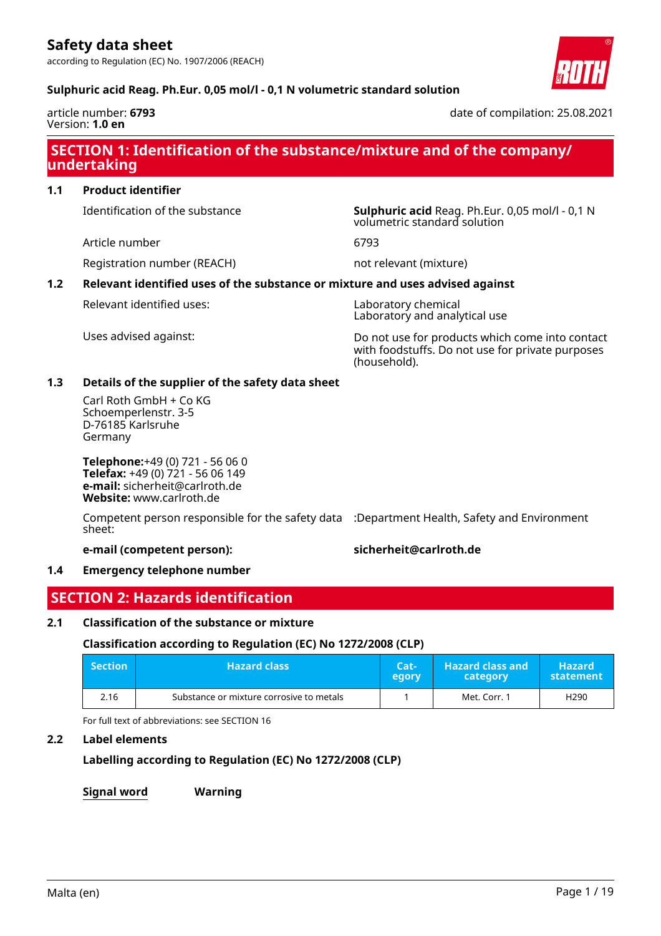according to Regulation (EC) No. 1907/2006 (REACH)

#### **Sulphuric acid Reag. Ph.Eur. 0,05 mol/l - 0,1 N volumetric standard solution**

article number: **6793** Version: **1.0 en**

date of compilation: 25.08.2021

# **SECTION 1: Identification of the substance/mixture and of the company/ undertaking**

**1.1 Product identifier**

Identification of the substance **Sulphuric acid** Reag. Ph.Eur. 0,05 mol/l - 0,1 N

Article number 6793

Registration number (REACH) not relevant (mixture)

### **1.2 Relevant identified uses of the substance or mixture and uses advised against**

Relevant identified uses: Laboratory chemical

Laboratory and analytical use

volumetric standard solution

Uses advised against: Do not use for products which come into contact with foodstuffs. Do not use for private purposes (household).

#### **1.3 Details of the supplier of the safety data sheet**

Carl Roth GmbH + Co KG Schoemperlenstr. 3-5 D-76185 Karlsruhe Germany

**Telephone:**+49 (0) 721 - 56 06 0 **Telefax:** +49 (0) 721 - 56 06 149 **e-mail:** sicherheit@carlroth.de **Website:** www.carlroth.de

Competent person responsible for the safety data :Department Health, Safety and Environment sheet:

#### **e-mail (competent person): sicherheit@carlroth.de**

#### **1.4 Emergency telephone number**

# **SECTION 2: Hazards identification**

#### **2.1 Classification of the substance or mixture**

## **Classification according to Regulation (EC) No 1272/2008 (CLP)**

| <b>Section</b> | <b>Hazard class</b>                      | Cat-<br>egory | <b>Hazard class and</b><br>category | <b>Hazard</b><br>statement |
|----------------|------------------------------------------|---------------|-------------------------------------|----------------------------|
| 2.16           | Substance or mixture corrosive to metals |               | Met. Corr. 1                        | H <sub>290</sub>           |

For full text of abbreviations: see SECTION 16

## **2.2 Label elements**

# **Labelling according to Regulation (EC) No 1272/2008 (CLP)**

**Signal word Warning**

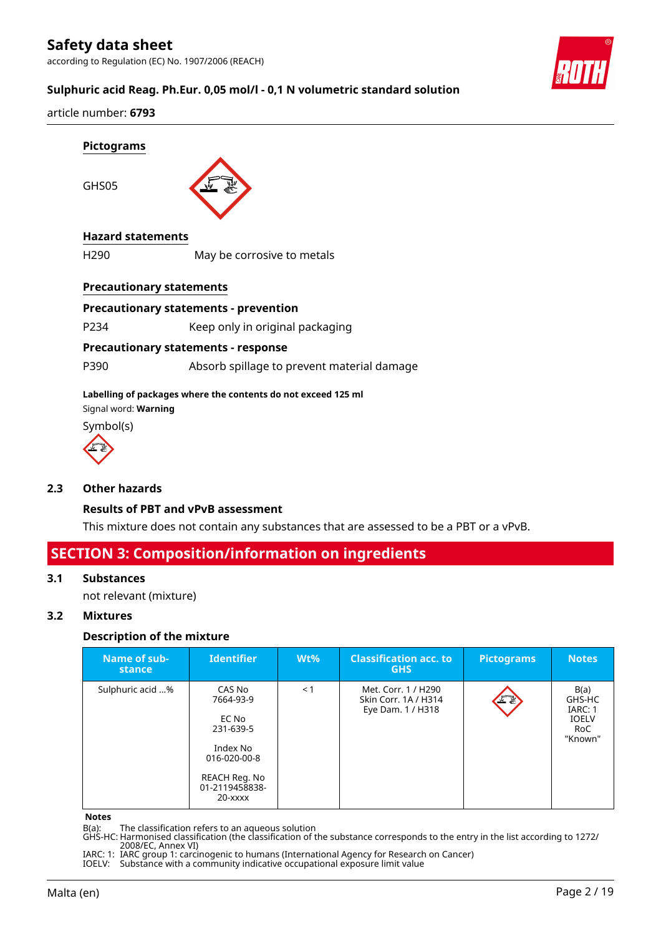according to Regulation (EC) No. 1907/2006 (REACH)



### **Sulphuric acid Reag. Ph.Eur. 0,05 mol/l - 0,1 N volumetric standard solution**

article number: **6793**

GHS05



#### **Hazard statements**

H290 May be corrosive to metals

#### **Precautionary statements**

#### **Precautionary statements - prevention**

P234 Keep only in original packaging

#### **Precautionary statements - response**

P390 Absorb spillage to prevent material damage

#### **Labelling of packages where the contents do not exceed 125 ml**

Signal word: **Warning**

Symbol(s)



#### **2.3 Other hazards**

#### **Results of PBT and vPvB assessment**

This mixture does not contain any substances that are assessed to be a PBT or a vPvB.

# **SECTION 3: Composition/information on ingredients**

#### **3.1 Substances**

not relevant (mixture)

### **3.2 Mixtures**

#### **Description of the mixture**

| Name of sub-<br>stance | <b>Identifier</b>                                                                                                       | $Wt\%$ | <b>Classification acc. to</b><br><b>GHS</b>                      | <b>Pictograms</b> | <b>Notes</b>                                                |
|------------------------|-------------------------------------------------------------------------------------------------------------------------|--------|------------------------------------------------------------------|-------------------|-------------------------------------------------------------|
| Sulphuric acid %       | CAS No<br>7664-93-9<br>EC No<br>231-639-5<br>Index No<br>016-020-00-8<br>REACH Reg. No<br>01-2119458838-<br>$20 - XXXX$ | < 1    | Met. Corr. 1 / H290<br>Skin Corr. 1A / H314<br>Eye Dam. 1 / H318 | 上夏                | B(a)<br>GHS-HC<br>IARC: 1<br><b>IOELV</b><br>RoC<br>"Known" |

#### **Notes**

B(a): The classification refers to an aqueous solution

GHS-HC: Harmonised classification (the classification of the substance corresponds to the entry in the list according to 1272/ 2008/EC, Annex VI)

IARC: 1: IARC group 1: carcinogenic to humans (International Agency for Research on Cancer)

IOELV: Substance with a community indicative occupational exposure limit value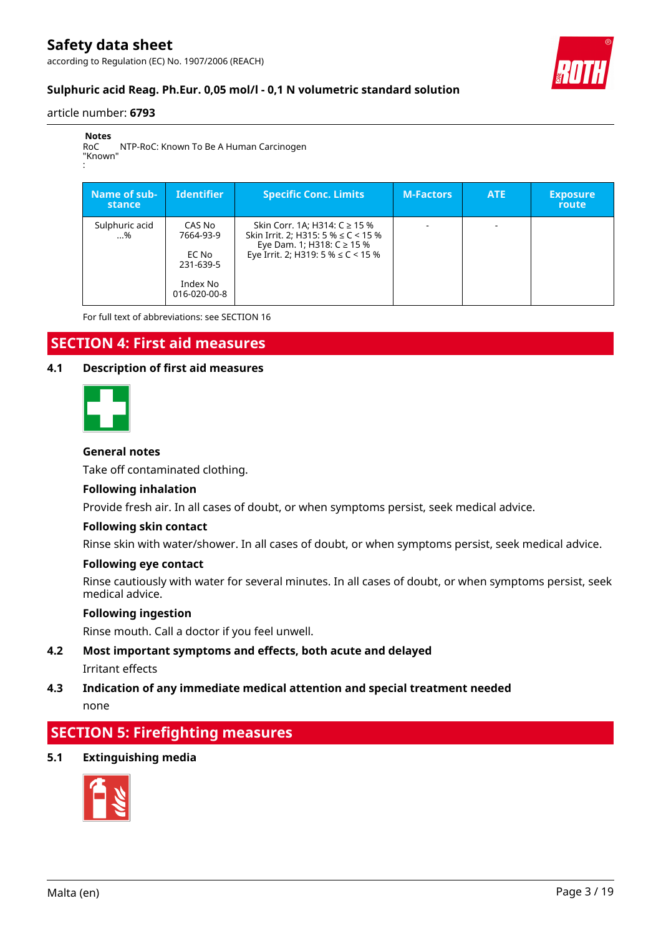according to Regulation (EC) No. 1907/2006 (REACH)



## **Sulphuric acid Reag. Ph.Eur. 0,05 mol/l - 0,1 N volumetric standard solution**

#### article number: **6793**

:

**Notes** RoC "Known" NTP-RoC: Known To Be A Human Carcinogen

| Name of sub-<br>stance | <b>Identifier</b>                                                     | <b>Specific Conc. Limits</b>                                                                                                                       | <b>M-Factors</b> | <b>ATE</b> | <b>Exposure</b><br><b>route</b> |
|------------------------|-----------------------------------------------------------------------|----------------------------------------------------------------------------------------------------------------------------------------------------|------------------|------------|---------------------------------|
| Sulphuric acid<br>%    | CAS No<br>7664-93-9<br>EC No<br>231-639-5<br>Index No<br>016-020-00-8 | Skin Corr. 1A; H314: C ≥ 15 %<br>Skin Irrit. 2; H315: 5 % $\leq$ C < 15 %<br>Eye Dam. 1; H318: C ≥ 15 %<br>Eye Irrit. 2; H319: 5 % $\leq$ C < 15 % |                  |            |                                 |

For full text of abbreviations: see SECTION 16

# **SECTION 4: First aid measures**

#### **4.1 Description of first aid measures**



#### **General notes**

Take off contaminated clothing.

#### **Following inhalation**

Provide fresh air. In all cases of doubt, or when symptoms persist, seek medical advice.

#### **Following skin contact**

Rinse skin with water/shower. In all cases of doubt, or when symptoms persist, seek medical advice.

#### **Following eye contact**

Rinse cautiously with water for several minutes. In all cases of doubt, or when symptoms persist, seek medical advice.

#### **Following ingestion**

Rinse mouth. Call a doctor if you feel unwell.

# **4.2 Most important symptoms and effects, both acute and delayed**

Irritant effects

### **4.3 Indication of any immediate medical attention and special treatment needed** none

# **SECTION 5: Firefighting measures**

**5.1 Extinguishing media**

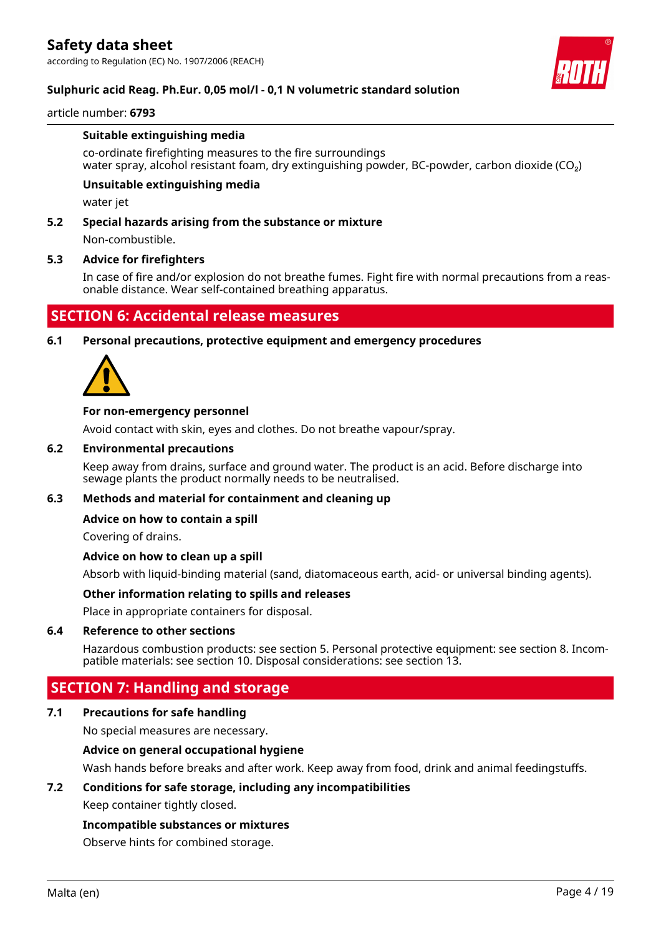

### **Sulphuric acid Reag. Ph.Eur. 0,05 mol/l - 0,1 N volumetric standard solution**

#### article number: **6793**

#### **Suitable extinguishing media**

co-ordinate firefighting measures to the fire surroundings water spray, alcohol resistant foam, dry extinguishing powder, BC-powder, carbon dioxide (CO₂)

#### **Unsuitable extinguishing media**

water jet

#### **5.2 Special hazards arising from the substance or mixture**

Non-combustible.

#### **5.3 Advice for firefighters**

In case of fire and/or explosion do not breathe fumes. Fight fire with normal precautions from a reasonable distance. Wear self-contained breathing apparatus.

# **SECTION 6: Accidental release measures**

### **6.1 Personal precautions, protective equipment and emergency procedures**



#### **For non-emergency personnel**

Avoid contact with skin, eyes and clothes. Do not breathe vapour/spray.

#### **6.2 Environmental precautions**

Keep away from drains, surface and ground water. The product is an acid. Before discharge into sewage plants the product normally needs to be neutralised.

#### **6.3 Methods and material for containment and cleaning up**

#### **Advice on how to contain a spill**

Covering of drains.

#### **Advice on how to clean up a spill**

Absorb with liquid-binding material (sand, diatomaceous earth, acid- or universal binding agents).

#### **Other information relating to spills and releases**

Place in appropriate containers for disposal.

#### **6.4 Reference to other sections**

Hazardous combustion products: see section 5. Personal protective equipment: see section 8. Incompatible materials: see section 10. Disposal considerations: see section 13.

# **SECTION 7: Handling and storage**

#### **7.1 Precautions for safe handling**

No special measures are necessary.

#### **Advice on general occupational hygiene**

Wash hands before breaks and after work. Keep away from food, drink and animal feedingstuffs.

#### **7.2 Conditions for safe storage, including any incompatibilities**

Keep container tightly closed.

#### **Incompatible substances or mixtures**

Observe hints for combined storage.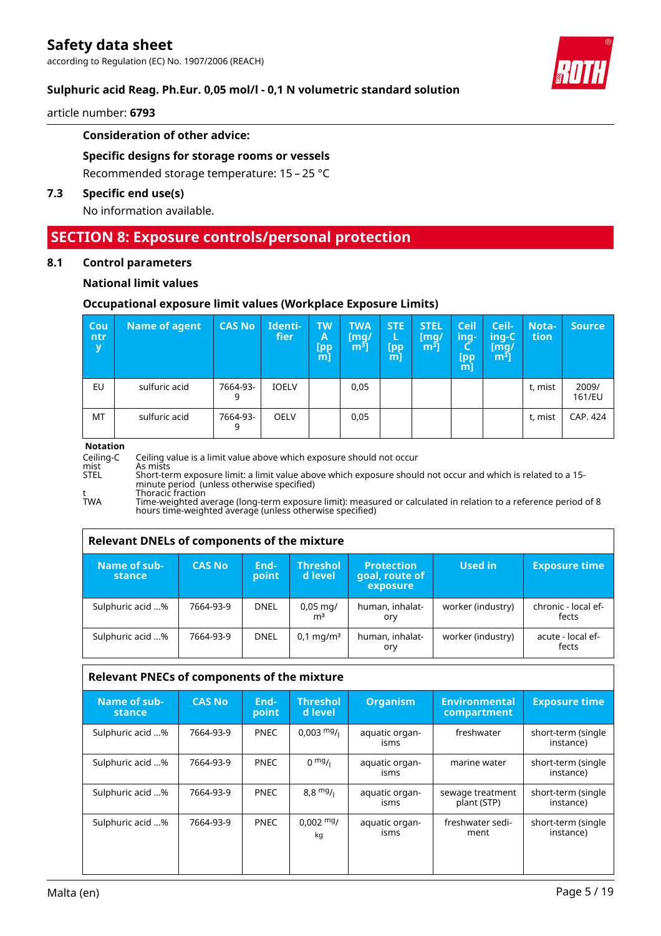

### **Sulphuric acid Reag. Ph.Eur. 0,05 mol/l - 0,1 N volumetric standard solution**

article number: **6793**

#### **Consideration of other advice:**

#### **Specific designs for storage rooms or vessels**

Recommended storage temperature: 15 – 25 °C

#### **7.3 Specific end use(s)**

No information available.

# **SECTION 8: Exposure controls/personal protection**

#### **8.1 Control parameters**

#### **National limit values**

#### **Occupational exposure limit values (Workplace Exposure Limits)**

| Cou<br>ntr<br>y | Name of agent | <b>CAS No</b> | Identi-<br>fier | <b>TW</b><br>A<br>[pp<br>$m$ ] | <b>TWA</b><br>$\lceil \mathsf{mq}/ \rceil$<br>m <sup>3</sup> | <b>STE</b><br>ь<br>[pp<br>m | <b>STEL</b><br>$\mathsf{[mq]}$<br>m <sup>3</sup> | Ceil<br>ing-<br><b>Lpp</b><br>$m$ ] | Ceil-<br>$inq-C$<br>$\lceil \mathsf{mq} \rceil$<br>m <sup>3</sup> | Nota-<br>tion | <b>Source</b>   |
|-----------------|---------------|---------------|-----------------|--------------------------------|--------------------------------------------------------------|-----------------------------|--------------------------------------------------|-------------------------------------|-------------------------------------------------------------------|---------------|-----------------|
| EU              | sulfuric acid | 7664-93-<br>9 | <b>IOELV</b>    |                                | 0,05                                                         |                             |                                                  |                                     |                                                                   | t, mist       | 2009/<br>161/EU |
| MT              | sulfuric acid | 7664-93-<br>9 | <b>OELV</b>     |                                | 0,05                                                         |                             |                                                  |                                     |                                                                   | t, mist       | CAP. 424        |

#### **Notation**

Ceiling-C Ceiling value is a limit value above which exposure should not occur<br>mist As mists<br>STEL Short-term exposure limit: a limit value above which exposure shoul mist As mists STEL Short-term exposure limit: a limit value above which exposure should not occur and which is related to a 15 minute period (unless otherwise specified) t Thoracic fraction

TWA Time-weighted average (long-term exposure limit): measured or calculated in relation to a reference period of 8 hours time-weighted average (unless otherwise specified)

#### **Relevant DNELs of components of the mixture**

| Name of sub-<br>stance | <b>CAS No</b> | End-<br>point | <b>Threshol</b><br>d level | <b>Protection</b><br>goal, route of<br>exposure | Used in           | <b>Exposure time</b>         |
|------------------------|---------------|---------------|----------------------------|-------------------------------------------------|-------------------|------------------------------|
| Sulphuric acid %       | 7664-93-9     | <b>DNEL</b>   | 0,05 mg/<br>m <sup>3</sup> | human, inhalat-<br>ory                          | worker (industry) | chronic - local ef-<br>fects |
| Sulphuric acid %       | 7664-93-9     | <b>DNEL</b>   | $0,1 \,\mathrm{mq/m^3}$    | human, inhalat-<br>ory                          | worker (industry) | acute - local ef-<br>fects   |

### **Relevant PNECs of components of the mixture**

| Name of sub-<br>stance | <b>CAS No</b> | 'End-.<br>point | <b>Threshol</b><br>d level | <b>Organism</b>        | <b>Environmental</b><br>compartment | <b>Exposure time</b>            |
|------------------------|---------------|-----------------|----------------------------|------------------------|-------------------------------------|---------------------------------|
| Sulphuric acid %       | 7664-93-9     | <b>PNEC</b>     | $0,003 \frac{mg}{l}$       | aquatic organ-<br>isms | freshwater                          | short-term (single<br>instance) |
| Sulphuric acid %       | 7664-93-9     | <b>PNEC</b>     | $0 \frac{mg}{l}$           | aquatic organ-<br>isms | marine water                        | short-term (single<br>instance) |
| Sulphuric acid %       | 7664-93-9     | <b>PNEC</b>     | $8,8 \frac{mg}{l}$         | aquatic organ-<br>isms | sewage treatment<br>plant (STP)     | short-term (single<br>instance) |
| Sulphuric acid %       | 7664-93-9     | <b>PNEC</b>     | $0,002 \text{ mg}$<br>kg   | aquatic organ-<br>isms | freshwater sedi-<br>ment            | short-term (single<br>instance) |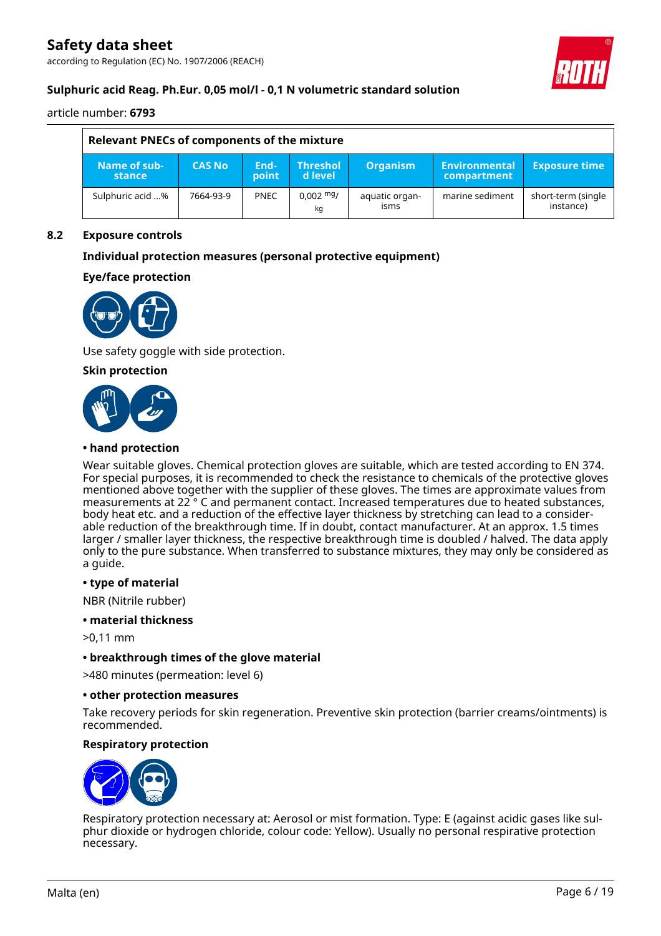according to Regulation (EC) No. 1907/2006 (REACH)



### **Sulphuric acid Reag. Ph.Eur. 0,05 mol/l - 0,1 N volumetric standard solution**

article number: **6793**

| Relevant PNECs of components of the mixture |               |               |                                |                        |                               |                                 |  |
|---------------------------------------------|---------------|---------------|--------------------------------|------------------------|-------------------------------|---------------------------------|--|
| Name of sub-<br>stance                      | <b>CAS No</b> | End-<br>point | <b>Threshol</b><br>l d level i | <b>Organism</b>        | 'Environmental<br>compartment | <b>Exposure time</b>            |  |
| Sulphuric acid %                            | 7664-93-9     | <b>PNEC</b>   | $0.002 \frac{mg}{m}$<br>kg     | aquatic organ-<br>isms | marine sediment               | short-term (single<br>instance) |  |

#### **8.2 Exposure controls**

### **Individual protection measures (personal protective equipment)**

#### **Eye/face protection**



Use safety goggle with side protection.

#### **Skin protection**



#### **• hand protection**

Wear suitable gloves. Chemical protection gloves are suitable, which are tested according to EN 374. For special purposes, it is recommended to check the resistance to chemicals of the protective gloves mentioned above together with the supplier of these gloves. The times are approximate values from measurements at 22 ° C and permanent contact. Increased temperatures due to heated substances, body heat etc. and a reduction of the effective layer thickness by stretching can lead to a considerable reduction of the breakthrough time. If in doubt, contact manufacturer. At an approx. 1.5 times larger / smaller layer thickness, the respective breakthrough time is doubled / halved. The data apply only to the pure substance. When transferred to substance mixtures, they may only be considered as a guide.

#### **• type of material**

NBR (Nitrile rubber)

#### **• material thickness**

>0,11 mm

#### **• breakthrough times of the glove material**

>480 minutes (permeation: level 6)

#### **• other protection measures**

Take recovery periods for skin regeneration. Preventive skin protection (barrier creams/ointments) is recommended.

#### **Respiratory protection**



Respiratory protection necessary at: Aerosol or mist formation. Type: E (against acidic gases like sulphur dioxide or hydrogen chloride, colour code: Yellow). Usually no personal respirative protection necessary.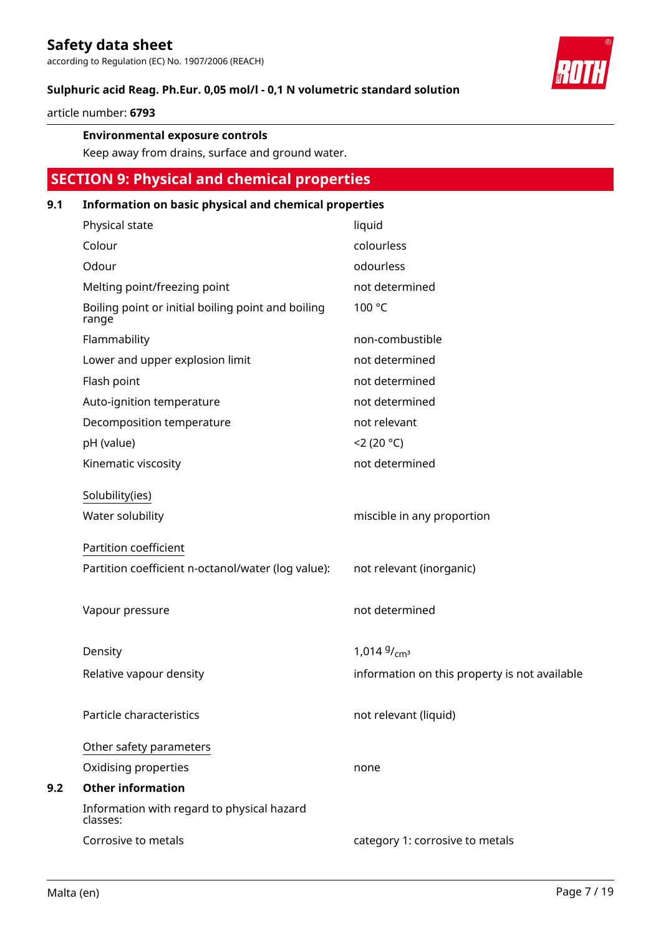according to Regulation (EC) No. 1907/2006 (REACH)

#### **Sulphuric acid Reag. Ph.Eur. 0,05 mol/l - 0,1 N volumetric standard solution**

article number: **6793**

#### **Environmental exposure controls**

Keep away from drains, surface and ground water.

# **SECTION 9: Physical and chemical properties**

#### **9.1 Information on basic physical and chemical properties**

| Physical state                                              | liquid                                        |
|-------------------------------------------------------------|-----------------------------------------------|
| Colour                                                      | colourless                                    |
| Odour                                                       | odourless                                     |
| Melting point/freezing point                                | not determined                                |
| Boiling point or initial boiling point and boiling<br>range | 100 °C                                        |
| Flammability                                                | non-combustible                               |
| Lower and upper explosion limit                             | not determined                                |
| Flash point                                                 | not determined                                |
| Auto-ignition temperature                                   | not determined                                |
| Decomposition temperature                                   | not relevant                                  |
| pH (value)                                                  | 2(20 °C)                                      |
| Kinematic viscosity                                         | not determined                                |
| Solubility(ies)<br>Water solubility                         | miscible in any proportion                    |
| Partition coefficient                                       |                                               |
| Partition coefficient n-octanol/water (log value):          | not relevant (inorganic)                      |
| Vapour pressure                                             | not determined                                |
| Density                                                     | $1,014\frac{9}{\text{cm}^3}$                  |
| Relative vapour density                                     | information on this property is not available |
| Particle characteristics                                    | not relevant (liquid)                         |
| Other safety parameters                                     |                                               |
| Oxidising properties                                        | none                                          |
| <b>Other information</b>                                    |                                               |
| Information with regard to physical hazard<br>classes:      |                                               |
| Corrosive to metals                                         | category 1: corrosive to metals               |



**9.2**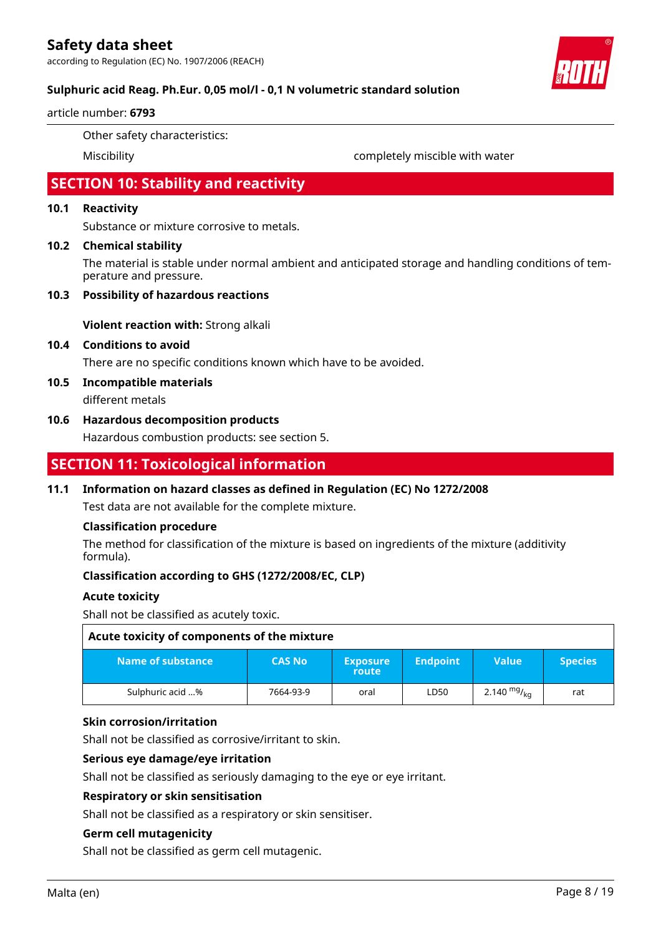according to Regulation (EC) No. 1907/2006 (REACH)



### **Sulphuric acid Reag. Ph.Eur. 0,05 mol/l - 0,1 N volumetric standard solution**

#### article number: **6793**

Other safety characteristics:

Miscibility completely miscible with water

# **SECTION 10: Stability and reactivity**

#### **10.1 Reactivity**

Substance or mixture corrosive to metals.

#### **10.2 Chemical stability**

The material is stable under normal ambient and anticipated storage and handling conditions of temperature and pressure.

#### **10.3 Possibility of hazardous reactions**

**Violent reaction with:** Strong alkali

#### **10.4 Conditions to avoid**

There are no specific conditions known which have to be avoided.

**10.5 Incompatible materials**

different metals

#### **10.6 Hazardous decomposition products**

Hazardous combustion products: see section 5.

# **SECTION 11: Toxicological information**

#### **11.1 Information on hazard classes as defined in Regulation (EC) No 1272/2008**

Test data are not available for the complete mixture.

#### **Classification procedure**

The method for classification of the mixture is based on ingredients of the mixture (additivity formula).

#### **Classification according to GHS (1272/2008/EC, CLP)**

#### **Acute toxicity**

Shall not be classified as acutely toxic.

| Acute toxicity of components of the mixture |               |                          |                 |                  |                |  |
|---------------------------------------------|---------------|--------------------------|-----------------|------------------|----------------|--|
| Name of substance                           | <b>CAS No</b> | <b>Exposure</b><br>route | <b>Endpoint</b> | <b>Value</b>     | <b>Species</b> |  |
| Sulphuric acid %                            | 7664-93-9     | oral                     | LD50            | 2.140 $mg/_{kn}$ | rat            |  |

#### **Skin corrosion/irritation**

Shall not be classified as corrosive/irritant to skin.

#### **Serious eye damage/eye irritation**

Shall not be classified as seriously damaging to the eye or eye irritant.

#### **Respiratory or skin sensitisation**

Shall not be classified as a respiratory or skin sensitiser.

#### **Germ cell mutagenicity**

Shall not be classified as germ cell mutagenic.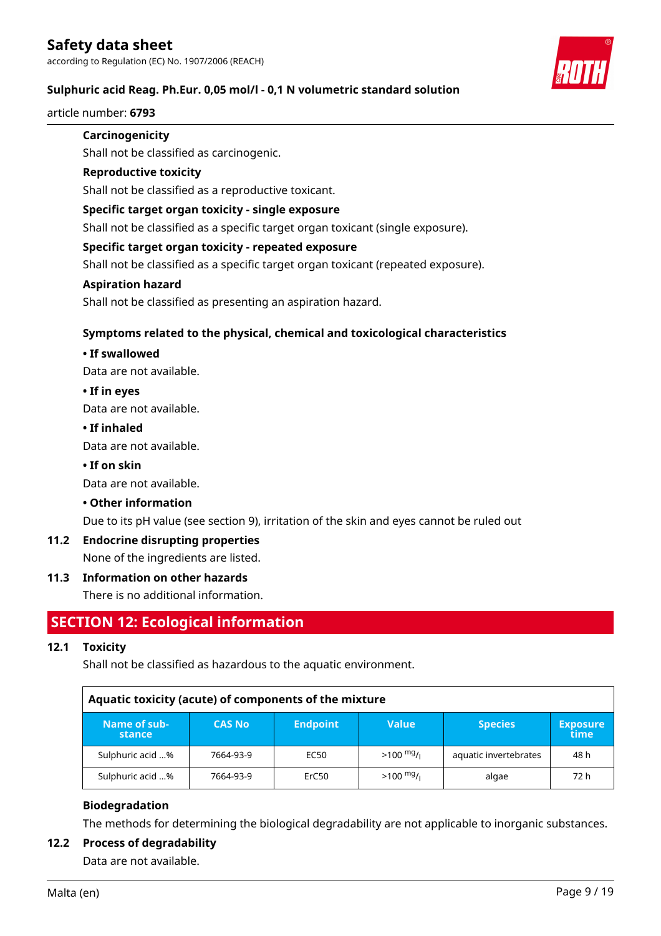### **Sulphuric acid Reag. Ph.Eur. 0,05 mol/l - 0,1 N volumetric standard solution**

article number: **6793**

#### **Carcinogenicity**

Shall not be classified as carcinogenic.

#### **Reproductive toxicity**

Shall not be classified as a reproductive toxicant.

#### **Specific target organ toxicity - single exposure**

Shall not be classified as a specific target organ toxicant (single exposure).

#### **Specific target organ toxicity - repeated exposure**

Shall not be classified as a specific target organ toxicant (repeated exposure).

#### **Aspiration hazard**

Shall not be classified as presenting an aspiration hazard.

#### **Symptoms related to the physical, chemical and toxicological characteristics**

#### **• If swallowed**

Data are not available.

#### **• If in eyes**

Data are not available.

#### **• If inhaled**

Data are not available.

### **• If on skin**

Data are not available.

#### **• Other information**

Due to its pH value (see section 9), irritation of the skin and eyes cannot be ruled out

#### **11.2 Endocrine disrupting properties**

None of the ingredients are listed.

#### **11.3 Information on other hazards**

There is no additional information.

# **SECTION 12: Ecological information**

#### **12.1 Toxicity**

Shall not be classified as hazardous to the aquatic environment.

| Aquatic toxicity (acute) of components of the mixture |               |                 |              |                       |                         |  |  |
|-------------------------------------------------------|---------------|-----------------|--------------|-----------------------|-------------------------|--|--|
| Name of sub-<br>stance                                | <b>CAS No</b> | <b>Endpoint</b> | <b>Value</b> | <b>Species</b>        | <b>Exposure</b><br>time |  |  |
| Sulphuric acid %                                      | 7664-93-9     | EC50            | $>100$ mg/   | aquatic invertebrates | 48 h                    |  |  |
| Sulphuric acid %                                      | 7664-93-9     | ErC50           | $>100$ mg/   | algae                 | 72 h                    |  |  |

#### **Biodegradation**

The methods for determining the biological degradability are not applicable to inorganic substances.

#### **12.2 Process of degradability**

Data are not available.

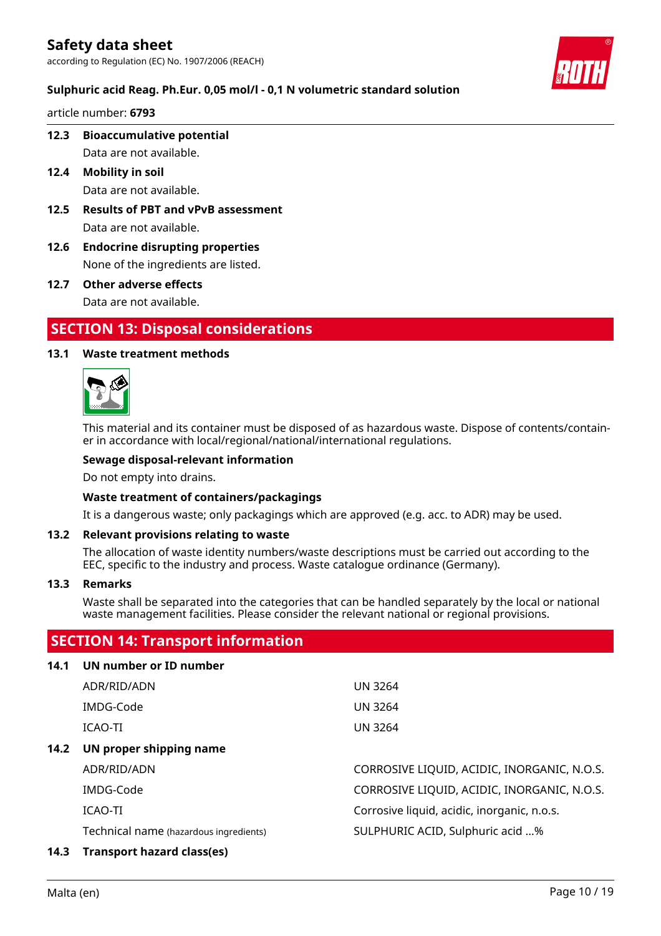

### **Sulphuric acid Reag. Ph.Eur. 0,05 mol/l - 0,1 N volumetric standard solution**

article number: **6793**

**12.3 Bioaccumulative potential**

Data are not available.

- **12.4 Mobility in soil** Data are not available.
- **12.5 Results of PBT and vPvB assessment** Data are not available.
- **12.6 Endocrine disrupting properties** None of the ingredients are listed.
- **12.7 Other adverse effects** Data are not available.

# **SECTION 13: Disposal considerations**

#### **13.1 Waste treatment methods**



This material and its container must be disposed of as hazardous waste. Dispose of contents/container in accordance with local/regional/national/international regulations.

#### **Sewage disposal-relevant information**

Do not empty into drains.

#### **Waste treatment of containers/packagings**

It is a dangerous waste; only packagings which are approved (e.g. acc. to ADR) may be used.

#### **13.2 Relevant provisions relating to waste**

The allocation of waste identity numbers/waste descriptions must be carried out according to the EEC, specific to the industry and process. Waste catalogue ordinance (Germany).

#### **13.3 Remarks**

Waste shall be separated into the categories that can be handled separately by the local or national waste management facilities. Please consider the relevant national or regional provisions.

### **SECTION 14: Transport information**

| 14.1 | UN number or ID number                 |                                             |
|------|----------------------------------------|---------------------------------------------|
|      | ADR/RID/ADN                            | <b>UN 3264</b>                              |
|      | IMDG-Code                              | <b>UN 3264</b>                              |
|      | ICAO-TI                                | <b>UN 3264</b>                              |
| 14.2 | UN proper shipping name                |                                             |
|      | ADR/RID/ADN                            | CORROSIVE LIQUID, ACIDIC, INORGANIC, N.O.S. |
|      | IMDG-Code                              | CORROSIVE LIQUID, ACIDIC, INORGANIC, N.O.S. |
|      | ICAO-TI                                | Corrosive liquid, acidic, inorganic, n.o.s. |
|      | Technical name (hazardous ingredients) | SULPHURIC ACID, Sulphuric acid %            |
| 14.3 | <b>Transport hazard class(es)</b>      |                                             |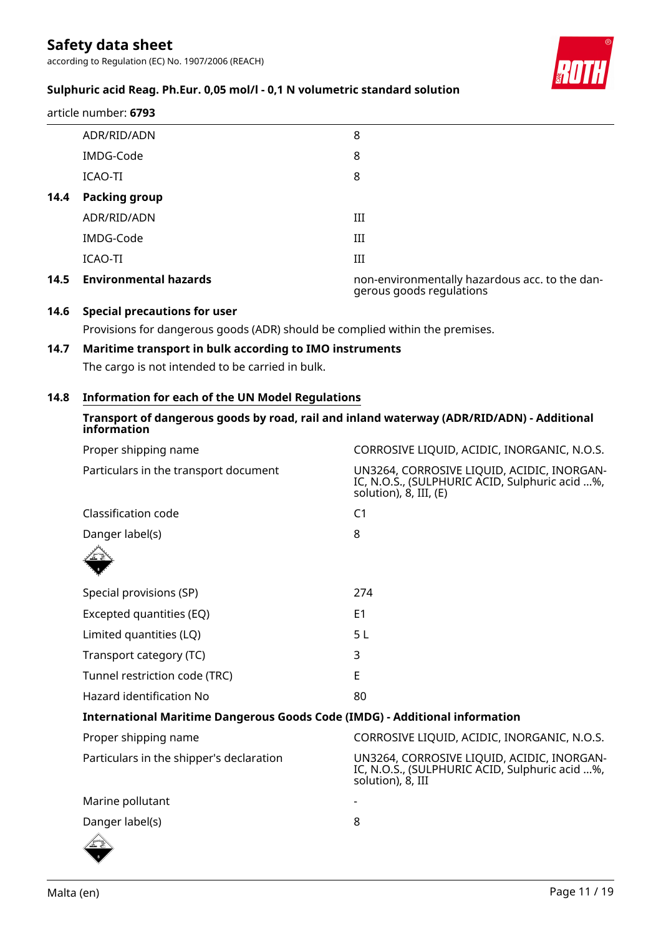according to Regulation (EC) No. 1907/2006 (REACH)



## **Sulphuric acid Reag. Ph.Eur. 0,05 mol/l - 0,1 N volumetric standard solution**

ADR/RID/ADN 8 IMDG-Code 8 ICAO-TI 8 **14.4 Packing group** ADR/RID/ADN III IMDG-Code III ICAO-TI III **14.5 Environmental hazards** non-environmentally hazardous acc. to the dangerous goods regulations article number: **6793**

#### **14.6 Special precautions for user**

Provisions for dangerous goods (ADR) should be complied within the premises.

#### **14.7 Maritime transport in bulk according to IMO instruments**

The cargo is not intended to be carried in bulk.

#### **14.8 Information for each of the UN Model Regulations**

#### **Transport of dangerous goods by road, rail and inland waterway (ADR/RID/ADN) - Additional information**

| Proper shipping name                                                               | CORROSIVE LIQUID, ACIDIC, INORGANIC, N.O.S.                                                                            |
|------------------------------------------------------------------------------------|------------------------------------------------------------------------------------------------------------------------|
| Particulars in the transport document                                              | UN3264, CORROSIVE LIQUID, ACIDIC, INORGAN-<br>IC, N.O.S., (SULPHURIC ACID, Sulphuric acid %,<br>solution), 8, III, (E) |
| Classification code                                                                | C <sub>1</sub>                                                                                                         |
| Danger label(s)                                                                    | 8                                                                                                                      |
|                                                                                    |                                                                                                                        |
| Special provisions (SP)                                                            | 274                                                                                                                    |
| Excepted quantities (EQ)                                                           | E <sub>1</sub>                                                                                                         |
| Limited quantities (LQ)                                                            | 5 L                                                                                                                    |
| Transport category (TC)                                                            | 3                                                                                                                      |
| Tunnel restriction code (TRC)                                                      | E                                                                                                                      |
| Hazard identification No                                                           | 80                                                                                                                     |
| <b>International Maritime Dangerous Goods Code (IMDG) - Additional information</b> |                                                                                                                        |
| Proper shipping name                                                               | CORROSIVE LIQUID, ACIDIC, INORGANIC, N.O.S.                                                                            |
| Particulars in the shipper's declaration                                           | UN3264, CORROSIVE LIQUID, ACIDIC, INORGAN-<br>IC, N.O.S., (SULPHURIC ACID, Sulphuric acid %,<br>solution), 8, III      |
| Marine pollutant                                                                   |                                                                                                                        |
| Danger label(s)                                                                    | 8                                                                                                                      |
|                                                                                    |                                                                                                                        |

 $8<sub>1</sub>$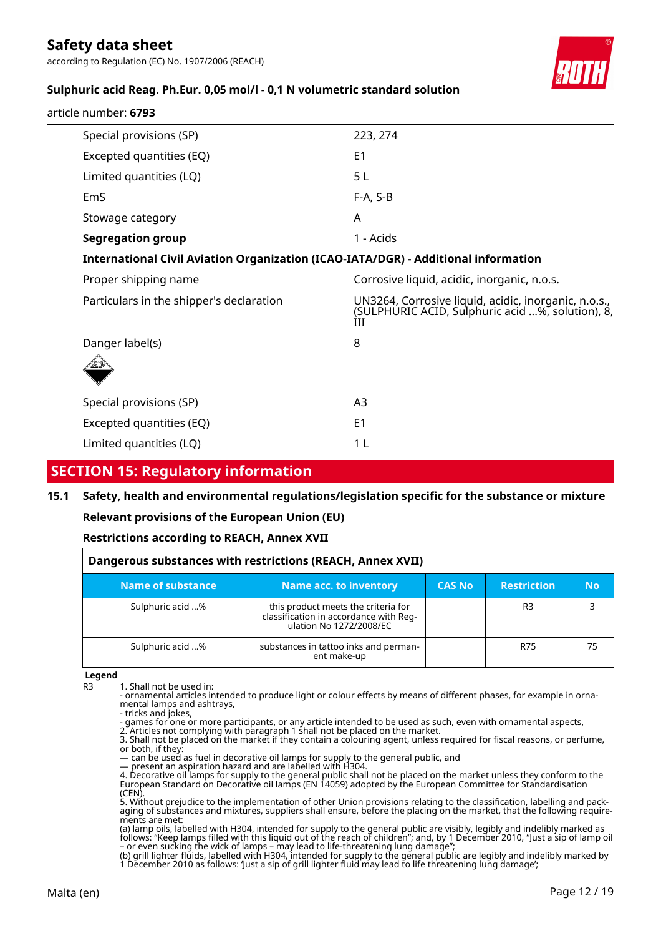according to Regulation (EC) No. 1907/2006 (REACH)



### **Sulphuric acid Reag. Ph.Eur. 0,05 mol/l - 0,1 N volumetric standard solution**

| article number: 6793 |  |
|----------------------|--|
|----------------------|--|

| Special provisions (SP)                                                            | 223, 274                                                                                                      |
|------------------------------------------------------------------------------------|---------------------------------------------------------------------------------------------------------------|
| Excepted quantities (EQ)                                                           | E <sub>1</sub>                                                                                                |
| Limited quantities (LQ)                                                            | 5 <sub>L</sub>                                                                                                |
| EmS                                                                                | $F-A, S-B$                                                                                                    |
| Stowage category                                                                   | A                                                                                                             |
| <b>Segregation group</b>                                                           | 1 - Acids                                                                                                     |
| International Civil Aviation Organization (ICAO-IATA/DGR) - Additional information |                                                                                                               |
| Proper shipping name                                                               | Corrosive liquid, acidic, inorganic, n.o.s.                                                                   |
| Particulars in the shipper's declaration                                           | UN3264, Corrosive liquid, acidic, inorganic, n.o.s.,<br>(SULPHURIC ACID, Sulphuric acid %, solution), 8,<br>Ш |
| Danger label(s)                                                                    | 8                                                                                                             |
|                                                                                    |                                                                                                               |
| Special provisions (SP)                                                            | A <sub>3</sub>                                                                                                |
| Excepted quantities (EQ)                                                           | E1                                                                                                            |
|                                                                                    |                                                                                                               |

# **SECTION 15: Regulatory information**

#### **15.1 Safety, health and environmental regulations/legislation specific for the substance or mixture**

#### **Relevant provisions of the European Union (EU)**

#### **Restrictions according to REACH, Annex XVII**

| Dangerous substances with restrictions (REACH, Annex XVII) |                                                                                                          |               |                    |    |  |
|------------------------------------------------------------|----------------------------------------------------------------------------------------------------------|---------------|--------------------|----|--|
| Name of substance                                          | Name acc. to inventory                                                                                   | <b>CAS No</b> | <b>Restriction</b> | No |  |
| Sulphuric acid %                                           | this product meets the criteria for<br>classification in accordance with Reg-<br>ulation No 1272/2008/EC |               | R <sub>3</sub>     |    |  |
| Sulphuric acid %                                           | substances in tattoo inks and perman-<br>ent make-up                                                     |               | R75                | 75 |  |

**Legend**

R3 1. Shall not be used in:

- ornamental articles intended to produce light or colour effects by means of different phases, for example in ornamental lamps and ashtrays,

- tricks and jokes,
- games for one or more participants, or any article intended to be used as such, even with ornamental aspects,

2. Articles not complying with paragraph 1 shall not be placed on the market. 3. Shall not be placed on the market if they contain a colouring agent, unless required for fiscal reasons, or perfume, or both, if they:

— can be used as fuel in decorative oil lamps for supply to the general public, and

— present an aspiration hazard and are labelled with H304. 4. Decorative oil lamps for supply to the general public shall not be placed on the market unless they conform to the European Standard on Decorative oil lamps (EN 14059) adopted by the European Committee for Standardisation

(CEN). 5. Without prejudice to the implementation of other Union provisions relating to the classification, labelling and packaging of substances and mixtures, suppliers shall ensure, before the placing on the market, that the following requirements are met:

(a) lamp oils, labelled with H304, intended for supply to the general public are visibly, legibly and indelibly marked as follows: "Keep lamps filled with this liquid out of the reach of children"; and, by 1 December 2010, "Just a sip of lamp oil – or even sucking the wick of lamps – may lead to life-threatening lung damage";

(b) grill lighter fluids, labelled with H304, intended for supply to the general public are legibly and indelibly marked by 1 December 2010 as follows: 'Just a sip of grill lighter fluid may lead to life threatening lung damage';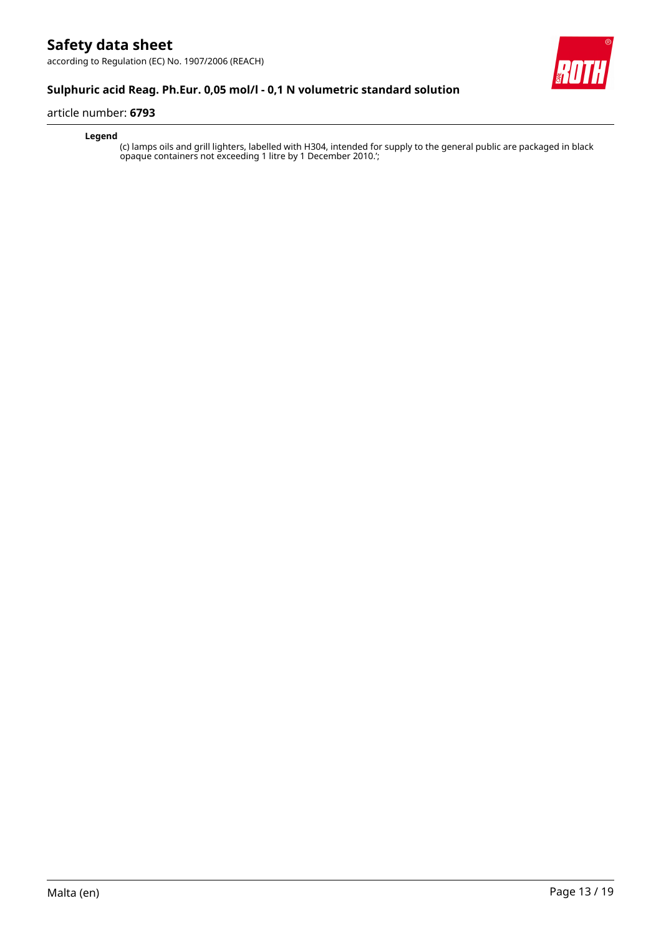according to Regulation (EC) No. 1907/2006 (REACH)



### **Sulphuric acid Reag. Ph.Eur. 0,05 mol/l - 0,1 N volumetric standard solution**

#### article number: **6793**

#### **Legend**

(c) lamps oils and grill lighters, labelled with H304, intended for supply to the general public are packaged in black opaque containers not exceeding 1 litre by 1 December 2010.';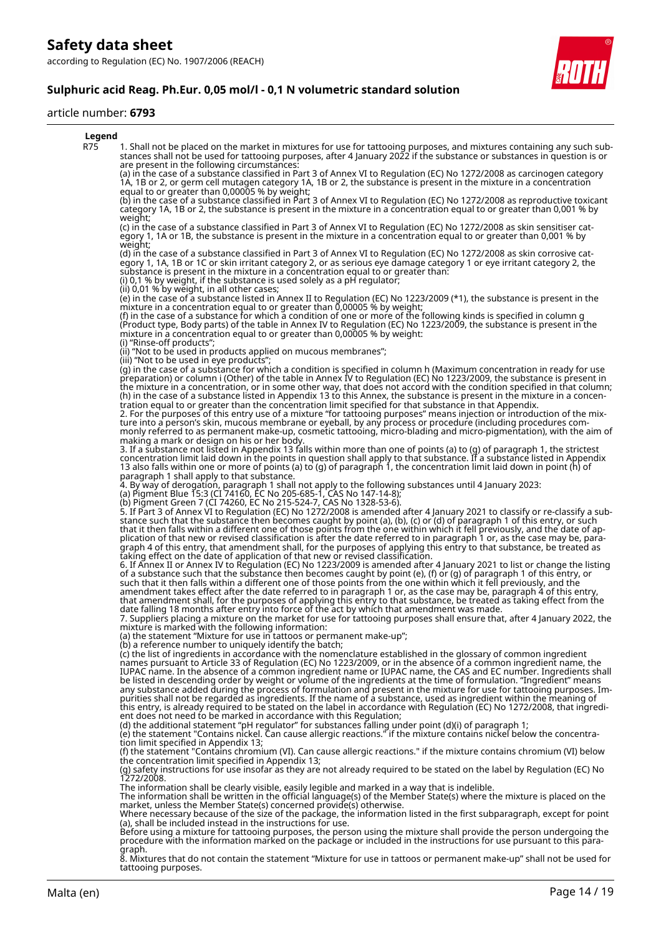# **Sulphuric acid Reag. Ph.Eur. 0,05 mol/l - 0,1 N volumetric standard solution**

#### article number: **6793**

| Legend |                                                                                                                                                                                                                                                                                                                                                                                                                                                                                                                                                                                                                                                                                                                                                                                                                                                                                                                                                                                                                                    |
|--------|------------------------------------------------------------------------------------------------------------------------------------------------------------------------------------------------------------------------------------------------------------------------------------------------------------------------------------------------------------------------------------------------------------------------------------------------------------------------------------------------------------------------------------------------------------------------------------------------------------------------------------------------------------------------------------------------------------------------------------------------------------------------------------------------------------------------------------------------------------------------------------------------------------------------------------------------------------------------------------------------------------------------------------|
| R75    | 1. Shall not be placed on the market in mixtures for use for tattooing purposes, and mixtures containing any such sub-<br>stances shall not be used for tattooing purposes, after 4 January 2022 if the substance or substances in question is or<br>are present in the following circumstances:                                                                                                                                                                                                                                                                                                                                                                                                                                                                                                                                                                                                                                                                                                                                   |
|        | (a) in the case of a substance classified in Part 3 of Annex VI to Regulation (EC) No 1272/2008 as carcinogen category<br>1A, 1B or 2, or germ cell mutagen category 1A, 1B or 2, the substance is present in the mixture in a concentration<br>equal to or greater than 0,00005 % by weight;                                                                                                                                                                                                                                                                                                                                                                                                                                                                                                                                                                                                                                                                                                                                      |
|        | (b) in the case of a substance classified in Part 3 of Annex VI to Regulation (EC) No 1272/2008 as reproductive toxicant<br>category 1A, 1B or 2, the substance is present in the mixture in a concentration equal to or greater than 0,001 % by<br>weight;                                                                                                                                                                                                                                                                                                                                                                                                                                                                                                                                                                                                                                                                                                                                                                        |
|        | (c) in the case of a substance classified in Part 3 of Annex VI to Regulation (EC) No 1272/2008 as skin sensitiser cat-<br>egory 1, 1A or 1B, the substance is present in the mixture in a concentration egual to or greater than 0,001 % by<br>weight;                                                                                                                                                                                                                                                                                                                                                                                                                                                                                                                                                                                                                                                                                                                                                                            |
|        | (d) in the case of a substance classified in Part 3 of Annex VI to Regulation (EC) No 1272/2008 as skin corrosive cat-<br>egory 1, 1A, 1B or 1C or skin irritant category 2, or as serious eye damage category 1 or eye irritant category 2, the<br>substance is present in the mixture in a concentration equal to or greater than:<br>(i) $0,1$ % by weight, if the substance is used solely as a pH regulator;                                                                                                                                                                                                                                                                                                                                                                                                                                                                                                                                                                                                                  |
|        | (ii) $0,01$ % by weight, in all other cases;<br>(e) in the case of a substance listed in Annex II to Regulation (EC) No 1223/2009 (*1), the substance is present in the<br>mixture in a concentration equal to or greater than 0,00005 % by weight;<br>(f) in the case of a substance for which a condition of one or more of the following kinds is specified in column g<br>(Product type, Body parts) of the table in Annex IV to Regulation (EC) No 1223/2009, the substance is present in the<br>mixture in a concentration equal to or greater than 0,00005 % by weight:                                                                                                                                                                                                                                                                                                                                                                                                                                                     |
|        | (i) "Rinse-off products";<br>(ii) "Not to be used in products applied on mucous membranes";<br>(iii) "Not to be used in eye products";                                                                                                                                                                                                                                                                                                                                                                                                                                                                                                                                                                                                                                                                                                                                                                                                                                                                                             |
|        | (g) in the case of a substance for which a condition is specified in column h (Maximum concentration in ready for use<br>preparation) or column i (Other) of the table in Annex IV to Regulation (EC) No 1223/2009, the substance is present in<br>the mixture in a concentration, or in some other way, that does not accord with the condition specified in that column;<br>(h) in the case of a substance listed in Appendix 13 to this Annex, the substance is present in the mixture in a concen-<br>tration equal to or greater than the concentration limit specified for that substance in that Appendix.<br>2. For the purposes of this entry use of a mixture "for tattooing purposes" means injection or introduction of the mix-<br>ture into a person's skin, mucous membrane or eyeball, by any process or procedure (including procedures com-<br>monly referred to as permanent make-up, cosmetic tattooing, micro-blading and micro-pigmentation), with the aim of<br>making a mark or design on his or her body. |
|        | 3. If a substance not listed in Appendix 13 falls within more than one of points (a) to (g) of paragraph 1, the strictest<br>concentration limit laid down in the points in question shall apply to that substance. If a substance listed in Appendix<br>13 also falls within one or more of points (a) to (g) of paragraph 1, the concentration limit laid down in point (h) of<br>paragraph 1 shall apply to that substance.                                                                                                                                                                                                                                                                                                                                                                                                                                                                                                                                                                                                     |
|        | 4. By way of derogation, paragraph 1 shall not apply to the following substances until 4 January 2023:<br>(a) Pigment Blue 15:3 (CI 74160, EC No 205-685-1, CAS No 147-14-8);                                                                                                                                                                                                                                                                                                                                                                                                                                                                                                                                                                                                                                                                                                                                                                                                                                                      |
|        | (b) Pigment Green 7 (CI 74260, EC No 215-524-7, CAS No 1328-53-6).<br>5. If Part 3 of Annex VI to Regulation (EC) No 1272/2008 is amended after 4 January 2021 to classify or re-classify a sub-<br>stance such that the substance then becomes caught by point (a), (b), (c) or (d) of paragraph 1 of this entry, or such<br>that it then falls within a different one of those points from the one within which it fell previously, and the date of ap-<br>plication of that new or revised classification is after the date referred to in paragraph 1 or, as the case may be, para-<br>graph 4 of this entry, that amendment shall, for the purposes of applying this entry to that substance, be treated as<br>taking effect on the date of application of that new or revised classification.                                                                                                                                                                                                                                |
|        | 6. If Annex II or Annex IV to Regulation (EC) No 1223/2009 is amended after 4 January 2021 to list or change the listing<br>of a substance such that the substance then becomes caught by point (e), (f) or (g) of paragraph 1 of this entry, or<br>such that it then falls within a different one of those points from the one within which it fell previously, and the<br>amendment takes effect after the date referred to in paragraph 1 or, as the case may be, paragraph 4 of this entry,<br>that amendment shall, for the purposes of applying this entry to that substance, be treated as taking effect from the<br>date falling 18 months after entry into force of the act by which that amendment was made.                                                                                                                                                                                                                                                                                                             |
|        | 7. Suppliers placing a mixture on the market for use for tattooing purposes shall ensure that, after 4 January 2022, the<br>mixture is marked with the following information:<br>(a) the statement "Mixture for use in tattoos or permanent make-up";                                                                                                                                                                                                                                                                                                                                                                                                                                                                                                                                                                                                                                                                                                                                                                              |
|        | (b) a reference number to uniquely identify the batch;<br>(c) the list of ingredients in accordance with the nomenclature established in the glossary of common ingredient<br>names pursuant to Article 33 of Regulation (EC) No 1223/2009, or in the absence of a common ingredient name, the<br>IUPAC name. In the absence of a common ingredient name or IUPAC name, the CAS and EC number. Ingredients shall<br>be listed in descending order by weight or volume of the ingredients at the time of formulation. "Ingredient" means<br>any substance added during the process of formulation and present in the mixture for use for tattooing purposes. Im-<br>purities shall not be regarded as ingredients. If the name of a substance, used as ingredient within the meaning of<br>this entry, is already required to be stated on the label in accordance with Regulation (EC) No 1272/2008, that ingredi-<br>ent does not need to be marked in accordance with this Regulation;                                           |
|        | (d) the additional statement "pH regulator" for substances falling under point (d)(i) of paragraph 1;<br>(e) the statement "Contains nickel. Can cause allergic reactions." if the mixture contains nickel below the concentra-<br>tion limit specified in Appendix 13;                                                                                                                                                                                                                                                                                                                                                                                                                                                                                                                                                                                                                                                                                                                                                            |
|        | (f) the statement "Contains chromium (VI). Can cause allergic reactions." if the mixture contains chromium (VI) below<br>the concentration limit specified in Appendix 13;<br>(g) safety instructions for use insofar as they are not already required to be stated on the label by Regulation (EC) No                                                                                                                                                                                                                                                                                                                                                                                                                                                                                                                                                                                                                                                                                                                             |
|        | 1272/2008.<br>The information shall be clearly visible, easily legible and marked in a way that is indelible.<br>The information shall be written in the official language(s) of the Member State(s) where the mixture is placed on the<br>market, unless the Member State(s) concerned provide(s) otherwise.                                                                                                                                                                                                                                                                                                                                                                                                                                                                                                                                                                                                                                                                                                                      |
|        | Where necessary because of the size of the package, the information listed in the first subparagraph, except for point<br>(a), shall be included instead in the instructions for use.<br>Before using a mixture for tattooing purposes, the person using the mixture shall provide the person undergoing the<br>procedure with the information marked on the package or included in the instructions for use pursuant to t                                                                                                                                                                                                                                                                                                                                                                                                                                                                                                                                                                                                         |
|        | graph.<br>8. Mixtures that do not contain the statement "Mixture for use in tattoos or permanent make-up" shall not be used for                                                                                                                                                                                                                                                                                                                                                                                                                                                                                                                                                                                                                                                                                                                                                                                                                                                                                                    |

8. Mixtures that do not contain the statement "Mixture for use in tattoos or permanent make-up" shall not be used for tattooing purposes.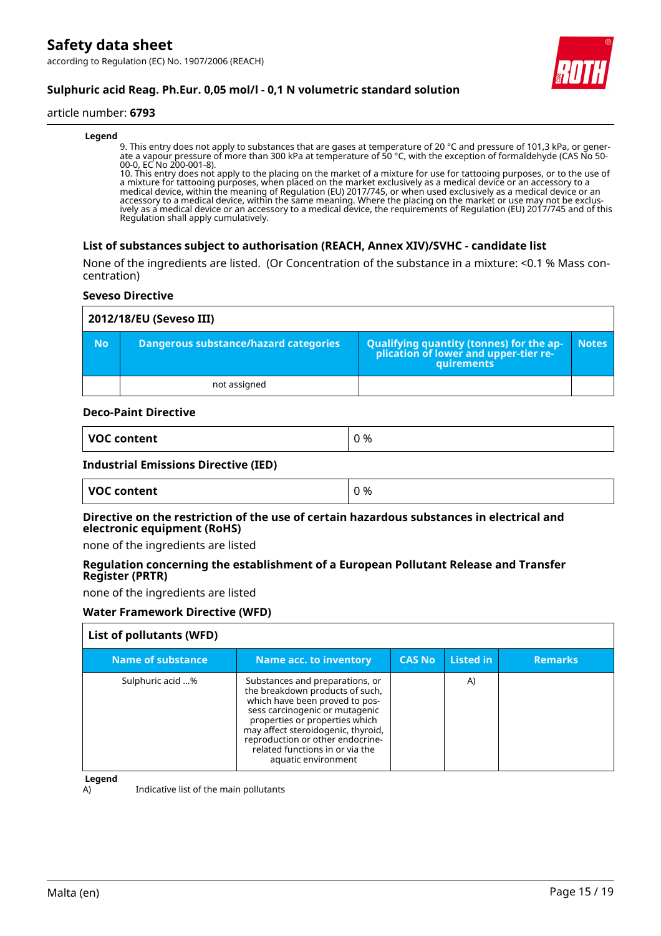

# **Sulphuric acid Reag. Ph.Eur. 0,05 mol/l - 0,1 N volumetric standard solution**

#### article number: **6793**

#### **Legend**

9. This entry does not apply to substances that are gases at temperature of 20 °C and pressure of 101,3 kPa, or generate a vapour pressure of more than 300 kPa at temperature of 50 °C, with the exception of formaldehyde (CAS No 50- 00-0, EC No 200-001-8).

10. This entry does not apply to the placing on the market of a mixture for use for tattooing purposes, or to the use of a mixture for tattooing purposes, when placed on the market exclusively as a medical device or an accessory to a medical device, within the meaning of Regulation (EU) 2017/745, or when used exclusively as a medical device or an accessory to a medical device, within the same meaning. Where the placing on the market or use may not be exclusively as a medical device or an accessory to a medical device, the requirements of Regulation (EU) 2017/745 and of this Regulation shall apply cumulatively.

#### **List of substances subject to authorisation (REACH, Annex XIV)/SVHC - candidate list**

None of the ingredients are listed. (Or Concentration of the substance in a mixture: <0.1 % Mass concentration)

#### **Seveso Directive**

|           | 2012/18/EU (Seveso III)               |                                                                                                 |              |  |  |
|-----------|---------------------------------------|-------------------------------------------------------------------------------------------------|--------------|--|--|
| <b>No</b> | Dangerous substance/hazard categories | Qualifying quantity (tonnes) for the ap-<br>plication of lower and upper-tier re-<br>quirements | <b>Notes</b> |  |  |
|           | not assigned                          |                                                                                                 |              |  |  |

#### **Deco-Paint Directive**

| VOC content<br>%<br>. . |
|-------------------------|
|-------------------------|

#### **Industrial Emissions Directive (IED)**

| VOC content | 0 % |
|-------------|-----|
|-------------|-----|

#### **Directive on the restriction of the use of certain hazardous substances in electrical and electronic equipment (RoHS)**

none of the ingredients are listed

#### **Regulation concerning the establishment of a European Pollutant Release and Transfer Register (PRTR)**

none of the ingredients are listed

#### **Water Framework Directive (WFD)**

| List of pollutants (WFD) |                                                                                                                                                                                                                                                                                                              |               |           |                |
|--------------------------|--------------------------------------------------------------------------------------------------------------------------------------------------------------------------------------------------------------------------------------------------------------------------------------------------------------|---------------|-----------|----------------|
| <b>Name of substance</b> | Name acc. to inventory                                                                                                                                                                                                                                                                                       | <b>CAS No</b> | Listed in | <b>Remarks</b> |
| Sulphuric acid %         | Substances and preparations, or<br>the breakdown products of such,<br>which have been proved to pos-<br>sess carcinogenic or mutagenic<br>properties or properties which<br>may affect steroidogenic, thyroid,<br>reproduction or other endocrine-<br>related functions in or via the<br>aquatic environment |               | A)        |                |

**Legend**

A) Indicative list of the main pollutants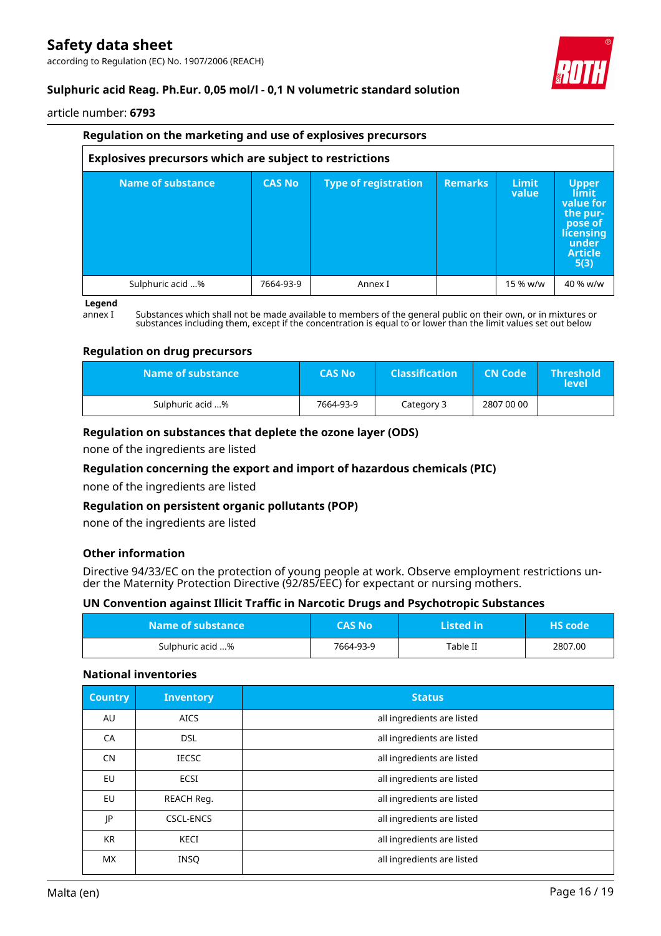according to Regulation (EC) No. 1907/2006 (REACH)



# **Sulphuric acid Reag. Ph.Eur. 0,05 mol/l - 0,1 N volumetric standard solution**

article number: **6793**

|                          | Regulation on the marketing and use of explosives precursors   |                      |                |                       |                                                                                                                  |  |
|--------------------------|----------------------------------------------------------------|----------------------|----------------|-----------------------|------------------------------------------------------------------------------------------------------------------|--|
|                          | <b>Explosives precursors which are subject to restrictions</b> |                      |                |                       |                                                                                                                  |  |
| <b>Name of substance</b> | <b>CAS No</b>                                                  | Type of registration | <b>Remarks</b> | <b>Limit</b><br>value | <b>Upper</b><br><b>limit</b><br>value for<br>the pur-<br>pose of<br>licensing<br>under<br><b>Article</b><br>5(3) |  |
| Sulphuric acid %         | 7664-93-9                                                      | Annex I              |                | 15 % w/w              | 40 % w/w                                                                                                         |  |

#### **Legend**

annex I Substances which shall not be made available to members of the general public on their own, or in mixtures or substances including them, except if the concentration is equal to or lower than the limit values set out below

#### **Regulation on drug precursors**

| Name of substance \ | <b>CAS No</b> | <b>Classification</b> | <b>CN Code</b> | $\blacksquare$ Threshold $\blacksquare$<br>level' |
|---------------------|---------------|-----------------------|----------------|---------------------------------------------------|
| Sulphuric acid %    | 7664-93-9     | Category 3            | 2807 00 00     |                                                   |

#### **Regulation on substances that deplete the ozone layer (ODS)**

none of the ingredients are listed

#### **Regulation concerning the export and import of hazardous chemicals (PIC)**

none of the ingredients are listed

#### **Regulation on persistent organic pollutants (POP)**

none of the ingredients are listed

#### **Other information**

Directive 94/33/EC on the protection of young people at work. Observe employment restrictions under the Maternity Protection Directive (92/85/EEC) for expectant or nursing mothers.

#### **UN Convention against Illicit Traffic in Narcotic Drugs and Psychotropic Substances**

| Name of substance | <b>CAS No</b> | Listed in | <b>HS</b> code |
|-------------------|---------------|-----------|----------------|
| Sulphuric acid %  | 7664-93-9     | Table II  | 2807.00        |

#### **National inventories**

| <b>Country</b> | <b>Inventory</b> | <b>Status</b>              |
|----------------|------------------|----------------------------|
| AU             | <b>AICS</b>      | all ingredients are listed |
| CA             | <b>DSL</b>       | all ingredients are listed |
| <b>CN</b>      | <b>IECSC</b>     | all ingredients are listed |
| EU             | <b>ECSI</b>      | all ingredients are listed |
| <b>EU</b>      | REACH Req.       | all ingredients are listed |
| JP             | <b>CSCL-ENCS</b> | all ingredients are listed |
| KR.            | <b>KECI</b>      | all ingredients are listed |
| MX.            | <b>INSQ</b>      | all ingredients are listed |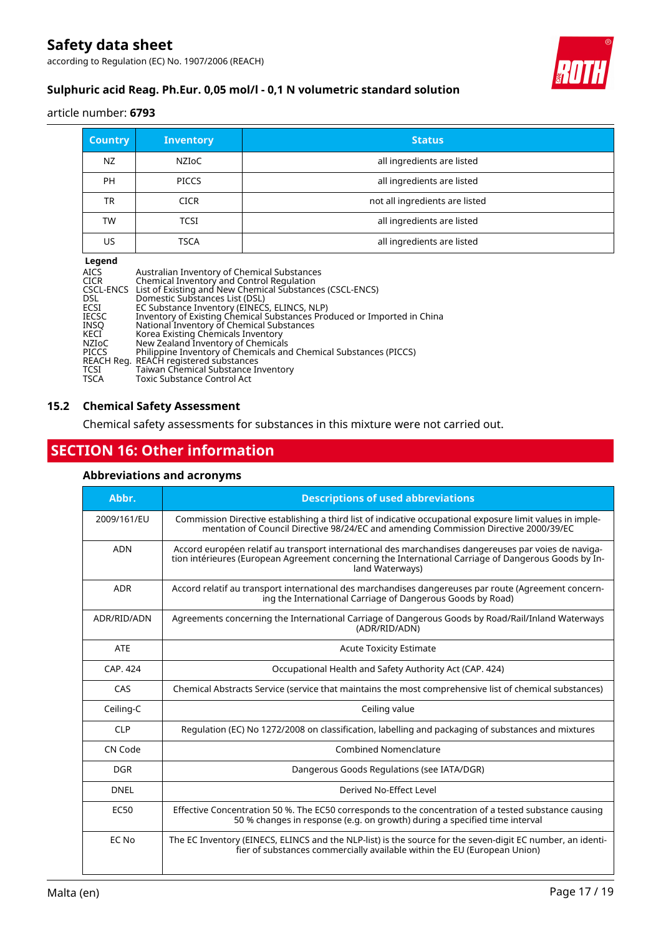according to Regulation (EC) No. 1907/2006 (REACH)



# **Sulphuric acid Reag. Ph.Eur. 0,05 mol/l - 0,1 N volumetric standard solution**

#### article number: **6793**

| <b>Country</b> | <b>Inventory</b> | <b>Status</b>                  |
|----------------|------------------|--------------------------------|
| NZ             | NZIOC            | all ingredients are listed     |
| <b>PH</b>      | <b>PICCS</b>     | all ingredients are listed     |
| <b>TR</b>      | <b>CICR</b>      | not all ingredients are listed |
| TW             | TCSI             | all ingredients are listed     |
| US             | TSCA             | all ingredients are listed     |

#### **Legend**

| AICS.        | Australian Inventory of Chemical Substances                             |
|--------------|-------------------------------------------------------------------------|
| <b>CICR</b>  | Chemical Inventory and Control Regulation                               |
|              | CSCL-ENCS List of Existing and New Chemical Substances (CSCL-ENCS)      |
| DSL.         | Domestic Substances List (DSL)                                          |
| <b>ECSI</b>  | EC Substance Inventory (EINECS, ELINCS, NLP)                            |
| <b>IECSC</b> | Inventory of Existing Chemical Substances Produced or Imported in China |
| INSO         | National Inventory of Chemical Substances                               |
| KECI         | Korea Existing Chemicals Inventory                                      |
| NZIoC        | New Zealand Inventory of Chemicals                                      |
| <b>PICCS</b> | Philippine Inventory of Chemicals and Chemical Substances (PICCS)       |
|              | REACH Reg. REACH registered substances                                  |
| TCSI         | Taiwan Chemical Substance Inventory                                     |
| TSCA         | Toxic Substance Control Act                                             |
|              |                                                                         |

#### **15.2 Chemical Safety Assessment**

Chemical safety assessments for substances in this mixture were not carried out.

# **SECTION 16: Other information**

#### **Abbreviations and acronyms**

| Abbr.            | <b>Descriptions of used abbreviations</b>                                                                                                                                                                                       |
|------------------|---------------------------------------------------------------------------------------------------------------------------------------------------------------------------------------------------------------------------------|
| 2009/161/EU      | Commission Directive establishing a third list of indicative occupational exposure limit values in imple-<br>mentation of Council Directive 98/24/EC and amending Commission Directive 2000/39/EC                               |
| <b>ADN</b>       | Accord européen relatif au transport international des marchandises dangereuses par voies de naviga-<br>tion intérieures (European Agreement concerning the International Carriage of Dangerous Goods by In-<br>land Waterways) |
| <b>ADR</b>       | Accord relatif au transport international des marchandises dangereuses par route (Agreement concern-<br>ing the International Carriage of Dangerous Goods by Road)                                                              |
| ADR/RID/ADN      | Agreements concerning the International Carriage of Dangerous Goods by Road/Rail/Inland Waterways<br>(ADR/RID/ADN)                                                                                                              |
| <b>ATE</b>       | <b>Acute Toxicity Estimate</b>                                                                                                                                                                                                  |
| CAP. 424         | Occupational Health and Safety Authority Act (CAP. 424)                                                                                                                                                                         |
| CAS              | Chemical Abstracts Service (service that maintains the most comprehensive list of chemical substances)                                                                                                                          |
| Ceiling-C        | Ceiling value                                                                                                                                                                                                                   |
| <b>CLP</b>       | Regulation (EC) No 1272/2008 on classification, labelling and packaging of substances and mixtures                                                                                                                              |
| CN Code          | <b>Combined Nomenclature</b>                                                                                                                                                                                                    |
| <b>DGR</b>       | Dangerous Goods Regulations (see IATA/DGR)                                                                                                                                                                                      |
| <b>DNEL</b>      | Derived No-Effect Level                                                                                                                                                                                                         |
| EC <sub>50</sub> | Effective Concentration 50 %. The EC50 corresponds to the concentration of a tested substance causing<br>50 % changes in response (e.g. on growth) during a specified time interval                                             |
| EC No            | The EC Inventory (EINECS, ELINCS and the NLP-list) is the source for the seven-digit EC number, an identi-<br>fier of substances commercially available within the EU (European Union)                                          |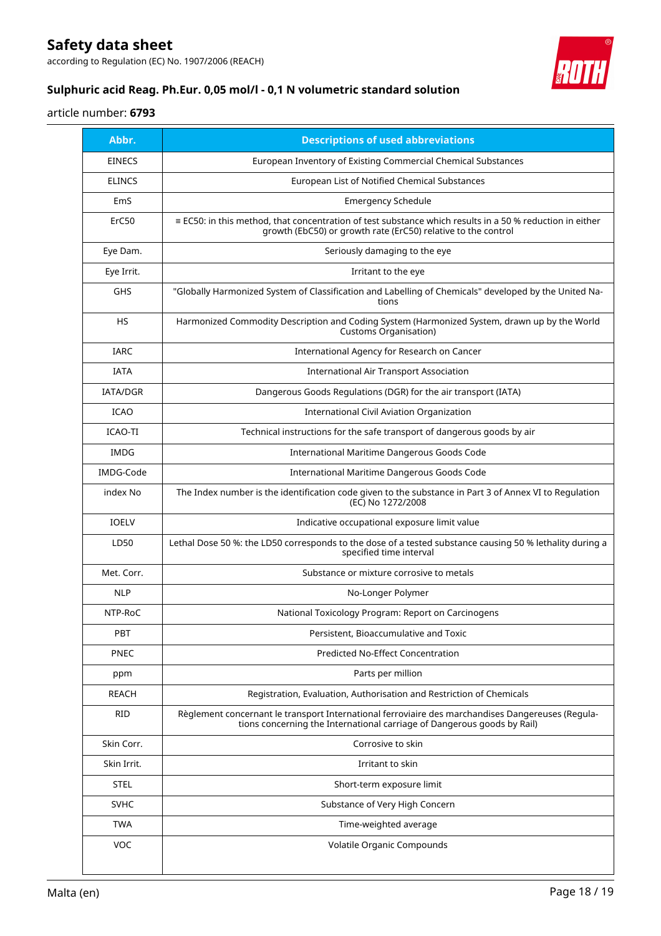according to Regulation (EC) No. 1907/2006 (REACH)



# **Sulphuric acid Reag. Ph.Eur. 0,05 mol/l - 0,1 N volumetric standard solution**

# article number: **6793**

| Abbr.           | <b>Descriptions of used abbreviations</b>                                                                                                                                        |
|-----------------|----------------------------------------------------------------------------------------------------------------------------------------------------------------------------------|
| <b>EINECS</b>   | European Inventory of Existing Commercial Chemical Substances                                                                                                                    |
| <b>ELINCS</b>   | European List of Notified Chemical Substances                                                                                                                                    |
| EmS             | <b>Emergency Schedule</b>                                                                                                                                                        |
| ErC50           | $\equiv$ EC50: in this method, that concentration of test substance which results in a 50 % reduction in either<br>growth (EbC50) or growth rate (ErC50) relative to the control |
| Eye Dam.        | Seriously damaging to the eye                                                                                                                                                    |
| Eye Irrit.      | Irritant to the eye                                                                                                                                                              |
| GHS             | "Globally Harmonized System of Classification and Labelling of Chemicals" developed by the United Na-<br>tions                                                                   |
| <b>HS</b>       | Harmonized Commodity Description and Coding System (Harmonized System, drawn up by the World<br>Customs Organisation)                                                            |
| <b>IARC</b>     | International Agency for Research on Cancer                                                                                                                                      |
| <b>IATA</b>     | <b>International Air Transport Association</b>                                                                                                                                   |
| <b>IATA/DGR</b> | Dangerous Goods Regulations (DGR) for the air transport (IATA)                                                                                                                   |
| <b>ICAO</b>     | International Civil Aviation Organization                                                                                                                                        |
| <b>ICAO-TI</b>  | Technical instructions for the safe transport of dangerous goods by air                                                                                                          |
| <b>IMDG</b>     | International Maritime Dangerous Goods Code                                                                                                                                      |
| IMDG-Code       | International Maritime Dangerous Goods Code                                                                                                                                      |
| index No        | The Index number is the identification code given to the substance in Part 3 of Annex VI to Regulation<br>(EC) No 1272/2008                                                      |
| <b>IOELV</b>    | Indicative occupational exposure limit value                                                                                                                                     |
| LD50            | Lethal Dose 50 %: the LD50 corresponds to the dose of a tested substance causing 50 % lethality during a<br>specified time interval                                              |
| Met. Corr.      | Substance or mixture corrosive to metals                                                                                                                                         |
| <b>NLP</b>      | No-Longer Polymer                                                                                                                                                                |
| NTP-RoC         | National Toxicology Program: Report on Carcinogens                                                                                                                               |
| <b>PBT</b>      | Persistent, Bioaccumulative and Toxic                                                                                                                                            |
| PNEC            | <b>Predicted No-Effect Concentration</b>                                                                                                                                         |
| ppm             | Parts per million                                                                                                                                                                |
| <b>REACH</b>    | Registration, Evaluation, Authorisation and Restriction of Chemicals                                                                                                             |
| <b>RID</b>      | Règlement concernant le transport International ferroviaire des marchandises Dangereuses (Regula-<br>tions concerning the International carriage of Dangerous goods by Rail)     |
| Skin Corr.      | Corrosive to skin                                                                                                                                                                |
| Skin Irrit.     | Irritant to skin                                                                                                                                                                 |
| <b>STEL</b>     | Short-term exposure limit                                                                                                                                                        |
| <b>SVHC</b>     | Substance of Very High Concern                                                                                                                                                   |
| <b>TWA</b>      | Time-weighted average                                                                                                                                                            |
| <b>VOC</b>      | Volatile Organic Compounds                                                                                                                                                       |